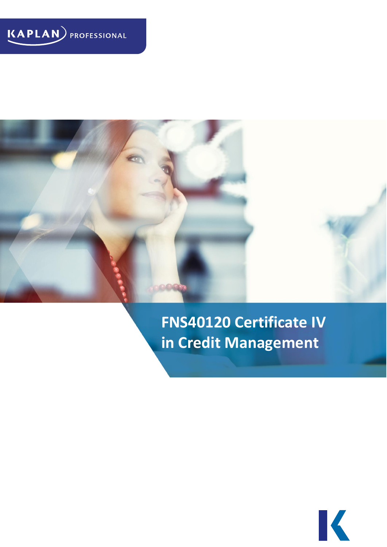



# **FNS40120 Certificate IV in Credit Management**

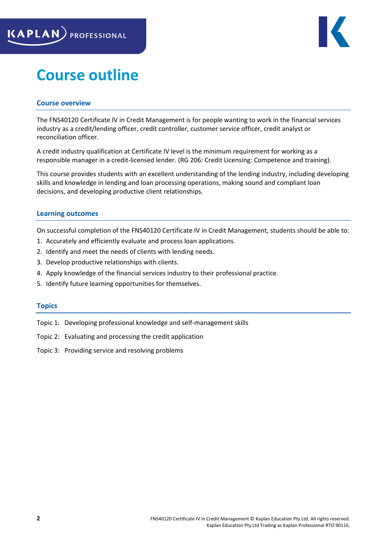

# **Course outline**

# **Course overview**

The FNS40120 Certificate IV in Credit Management is for people wanting to work in the financial services industry as a credit/lending officer, credit controller, customer service officer, credit analyst or reconciliation officer.

A credit industry qualification at Certificate IV level is the minimum requirement for working as a responsible manager in a credit-licensed lender. (RG 206: Credit Licensing: Competence and training).

This course provides students with an excellent understanding of the lending industry, including developing skills and knowledge in lending and loan processing operations, making sound and compliant loan decisions, and developing productive client relationships.

# **Learning outcomes**

On successful completion of the FNS40120 Certificate IV in Credit Management, students should be able to:

- 1. Accurately and efficiently evaluate and process loan applications.
- 2. Identify and meet the needs of clients with lending needs.
- 3. Develop productive relationships with clients.
- 4. Apply knowledge of the financial services industry to their professional practice.
- 5. Identify future learning opportunities for themselves.

# **Topics**

Topic 1: Developing professional knowledge and self-management skills

Topic 2: Evaluating and processing the credit application

Topic 3: Providing service and resolving problems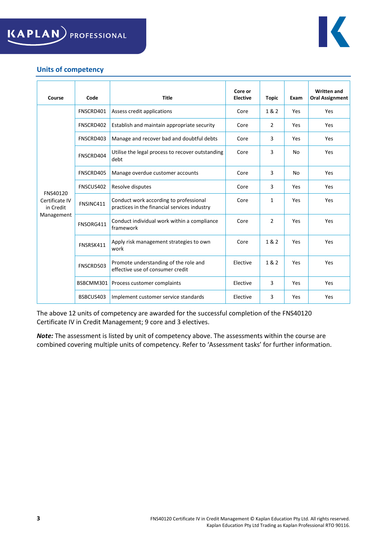



# **Units of competency**

| Course                                                | Code      | <b>Title</b>                                                                           | Core or<br><b>Elective</b> | <b>Topic</b>   | Exam | <b>Written and</b><br><b>Oral Assignment</b> |
|-------------------------------------------------------|-----------|----------------------------------------------------------------------------------------|----------------------------|----------------|------|----------------------------------------------|
| FNS40120<br>Certificate IV<br>in Credit<br>Management | FNSCRD401 | Assess credit applications                                                             | Core                       | 1&2            | Yes  | Yes                                          |
|                                                       | FNSCRD402 | Establish and maintain appropriate security                                            | Core                       | $\overline{2}$ | Yes  | Yes                                          |
|                                                       | FNSCRD403 | Manage and recover bad and doubtful debts                                              | Core                       | 3              | Yes  | Yes                                          |
|                                                       | FNSCRD404 | Utilise the legal process to recover outstanding<br>debt                               | Core                       | 3              | No   | Yes                                          |
|                                                       | FNSCRD405 | Manage overdue customer accounts                                                       | Core                       | 3              | No   | Yes                                          |
|                                                       | FNSCUS402 | Resolve disputes                                                                       | Core                       | 3              | Yes  | Yes                                          |
|                                                       | FNSINC411 | Conduct work according to professional<br>practices in the financial services industry | Core                       | $\mathbf{1}$   | Yes  | Yes                                          |
|                                                       | FNSORG411 | Conduct individual work within a compliance<br>framework                               | Core                       | $\overline{2}$ | Yes  | Yes                                          |
|                                                       | FNSRSK411 | Apply risk management strategies to own<br>work                                        | Core                       | 1 & 2          | Yes  | Yes                                          |
|                                                       | FNSCRD503 | Promote understanding of the role and<br>effective use of consumer credit              | Elective                   | 1 & 2          | Yes  | Yes                                          |
|                                                       | BSBCMM301 | Process customer complaints                                                            | Elective                   | 3              | Yes  | Yes                                          |
|                                                       | BSBCUS403 | Implement customer service standards                                                   | Elective                   | 3              | Yes  | Yes                                          |

The above 12 units of competency are awarded for the successful completion of the FNS40120 Certificate IV in Credit Management; 9 core and 3 electives.

*Note:* The assessment is listed by unit of competency above. The assessments within the course are combined covering multiple units of competency. Refer to 'Assessment tasks' for further information.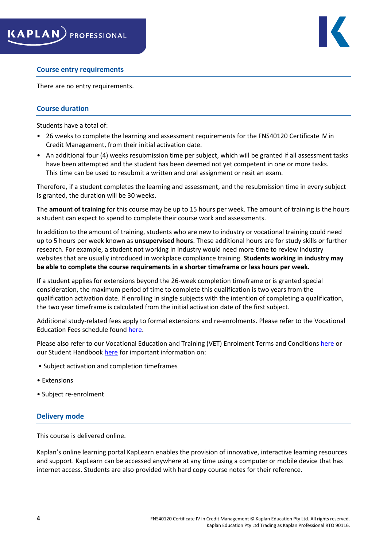

#### **Course entry requirements**

There are no entry requirements.

# **Course duration**

Students have a total of:

- 26 weeks to complete the learning and assessment requirements for the FNS40120 Certificate IV in Credit Management, from their initial activation date.
- An additional four (4) weeks resubmission time per subject, which will be granted if all assessment tasks have been attempted and the student has been deemed not yet competent in one or more tasks. This time can be used to resubmit a written and oral assignment or resit an exam.

Therefore, if a student completes the learning and assessment, and the resubmission time in every subject is granted, the duration will be 30 weeks.

The **amount of training** for this course may be up to 15 hours per week. The amount of training is the hours a student can expect to spend to complete their course work and assessments.

In addition to the amount of training, students who are new to industry or vocational training could need up to 5 hours per week known as **unsupervised hours**. These additional hours are for study skills or further research. For example, a student not working in industry would need more time to review industry websites that are usually introduced in workplace compliance training. **Students working in industry may be able to complete the course requirements in a shorter timeframe or less hours per week.**

If a student applies for extensions beyond the 26-week completion timeframe or is granted special consideration, the maximum period of time to complete this qualification is two years from the qualification activation date. If enrolling in single subjects with the intention of completing a qualification, the two year timeframe is calculated from the initial activation date of the first subject.

Additional study-related fees apply to formal extensions and re-enrolments. Please refer to the Vocational Education Fees schedule found [here.](https://www.kaplanprofessional.edu.au/faqs/financial-services-fees/)

Please also refer to our Vocational Education and Training (VET) Enrolment Terms and Conditions [here](https://www.kaplanprofessional.edu.au/faqs/studentpolicies/) or our Student Handbook [here](https://www.kaplanprofessional.edu.au/current-students/vocational-education-student-handbook/) for important information on:

- Subject activation and completion timeframes
- Extensions
- Subject re-enrolment

#### **Delivery mode**

This course is delivered online.

Kaplan's online learning portal KapLearn enables the provision of innovative, interactive learning resources and support. KapLearn can be accessed anywhere at any time using a computer or mobile device that has internet access. Students are also provided with hard copy course notes for their reference.